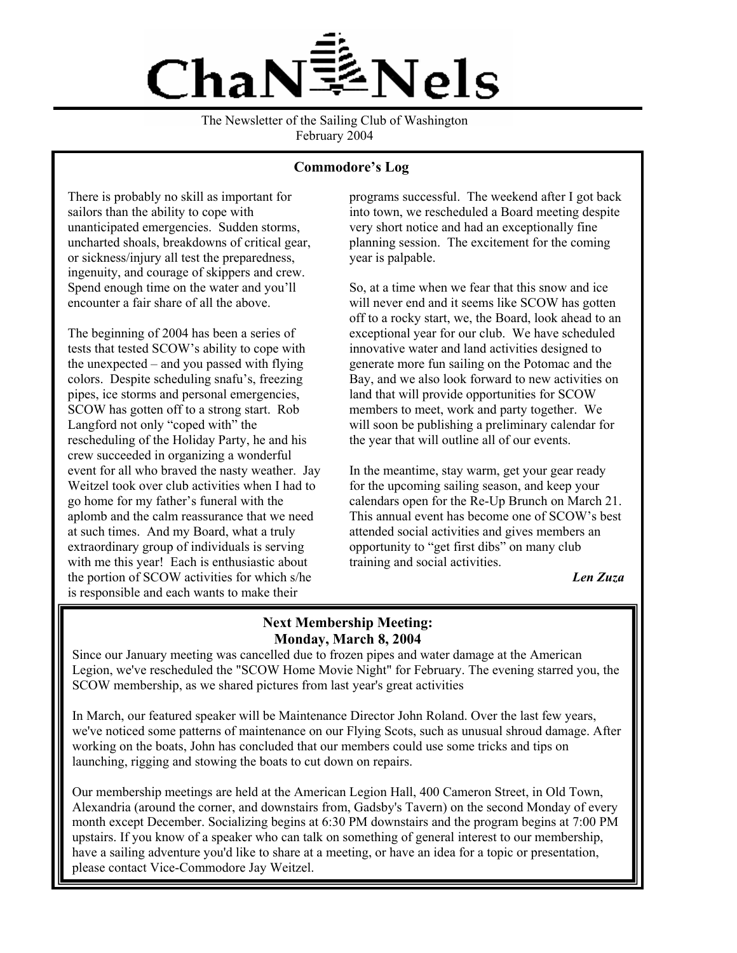

The Newsletter of the Sailing Club of Washington February 2004

### **Commodore's Log**

There is probably no skill as important for sailors than the ability to cope with unanticipated emergencies. Sudden storms, uncharted shoals, breakdowns of critical gear, or sickness/injury all test the preparedness, ingenuity, and courage of skippers and crew. Spend enough time on the water and you'll encounter a fair share of all the above.

The beginning of 2004 has been a series of tests that tested SCOW's ability to cope with the unexpected – and you passed with flying colors. Despite scheduling snafu's, freezing pipes, ice storms and personal emergencies, SCOW has gotten off to a strong start. Rob Langford not only "coped with" the rescheduling of the Holiday Party, he and his crew succeeded in organizing a wonderful event for all who braved the nasty weather. Jay Weitzel took over club activities when I had to go home for my father's funeral with the aplomb and the calm reassurance that we need at such times. And my Board, what a truly extraordinary group of individuals is serving with me this year! Each is enthusiastic about the portion of SCOW activities for which s/he is responsible and each wants to make their

programs successful. The weekend after I got back into town, we rescheduled a Board meeting despite very short notice and had an exceptionally fine planning session. The excitement for the coming year is palpable.

So, at a time when we fear that this snow and ice will never end and it seems like SCOW has gotten off to a rocky start, we, the Board, look ahead to an exceptional year for our club. We have scheduled innovative water and land activities designed to generate more fun sailing on the Potomac and the Bay, and we also look forward to new activities on land that will provide opportunities for SCOW members to meet, work and party together. We will soon be publishing a preliminary calendar for the year that will outline all of our events.

In the meantime, stay warm, get your gear ready for the upcoming sailing season, and keep your calendars open for the Re-Up Brunch on March 21. This annual event has become one of SCOW's best attended social activities and gives members an opportunity to "get first dibs" on many club training and social activities.

*Len Zuza*

# **Next Membership Meeting: Monday, March 8, 2004**

SCOW membership, as we shared pictures from last year's great activities Since our January meeting was cancelled due to frozen pipes and water damage at the American Legion, we've rescheduled the "SCOW Home Movie Night" for February. The evening starred you, the

launching, rigging and stowing the boats to cut down on repairs. In March, our featured speaker will be Maintenance Director John Roland. Over the last few years, we've noticed some patterns of maintenance on our Flying Scots, such as unusual shroud damage. After working on the boats, John has concluded that our members could use some tricks and tips on

Our membership meetings are held at the American Legion Hall, 400 Cameron Street, in Old Town, Alexandria (around the corner, and downstairs from, Gadsby's Tavern) on the second Monday of every month except December. Socializing begins at 6:30 PM downstairs and the program begins at 7:00 PM upstairs. If you know of a speaker who can talk on something of general interest to our membership, have a sailing adventure you'd like to share at a meeting, or have an idea for a topic or presentation, please contact Vice-Commodore Jay Weitzel.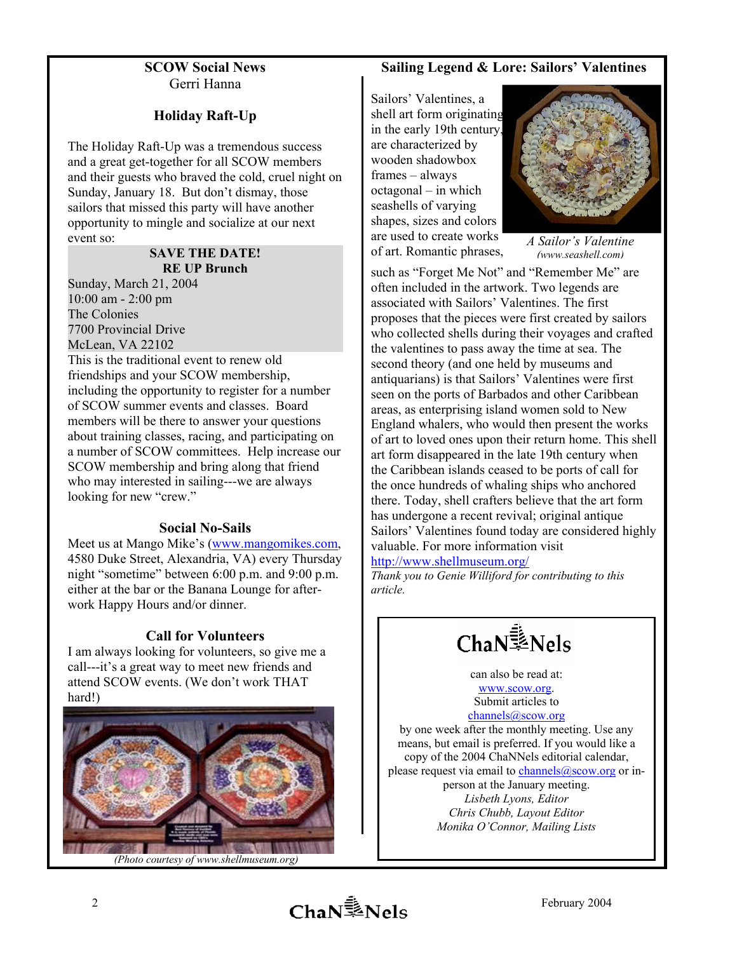## **SCOW Social News** Gerri Hanna

# **Holiday Raft-Up**

The Holiday Raft-Up was a tremendous success and a great get-together for all SCOW members and their guests who braved the cold, cruel night on Sunday, January 18. But don't dismay, those sailors that missed this party will have another opportunity to mingle and socialize at our next event so:

#### **SAVE THE DATE! RE UP Brunch**

Sunday, March 21, 2004 10:00 am - 2:00 pm The Colonies 7700 Provincial Drive McLean, VA 22102

This is the traditional event to renew old friendships and your SCOW membership, including the opportunity to register for a number of SCOW summer events and classes. Board members will be there to answer your questions about training classes, racing, and participating on a number of SCOW committees. Help increase our SCOW membership and bring along that friend who may interested in sailing---we are always looking for new "crew."

# **Social No-Sails**

Meet us at Mango Mike's [\(www.mangomikes.com,](http://www.mangomikes.com/) 4580 Duke Street, Alexandria, VA) every Thursday night "sometime" between 6:00 p.m. and 9:00 p.m. either at the bar or the Banana Lounge for afterwork Happy Hours and/or dinner.

# **Call for Volunteers**

I am always looking for volunteers, so give me a call---it's a great way to meet new friends and attend SCOW events. (We don't work THAT hard!)



## **Sailing Legend & Lore: Sailors' Valentines**

Sailors' Valentines, a shell art form originating in the early 19th century, are characterized by wooden shadowbox frames – always octagonal – in which seashells of varying shapes, sizes and colors are used to create works of art. Romantic phrases,



*A Sailor's Valentine (www.seashell.com)*

such as "Forget Me Not" and "Remember Me" are often included in the artwork. Two legends are associated with Sailors' Valentines. The first proposes that the pieces were first created by sailors who collected shells during their voyages and crafted the valentines to pass away the time at sea. The second theory (and one held by museums and antiquarians) is that Sailors' Valentines were first seen on the ports of Barbados and other Caribbean areas, as enterprising island women sold to New England whalers, who would then present the works of art to loved ones upon their return home. This shell art form disappeared in the late 19th century when the Caribbean islands ceased to be ports of call for the once hundreds of whaling ships who anchored there. Today, shell crafters believe that the art form has undergone a recent revival; original antique Sailors' Valentines found today are considered highly valuable. For more information visit

### <http://www.shellmuseum.org/>

*Thank you to Genie Williford for contributing to this article.* 

ChaNENels

can also be read at: [www.scow.org](http://www.scow.org/). Submit articles to

[channels@scow.org](mailto:channels@scow.org)

person at the January meeting. by one week after the monthly meeting. Use any means, but email is preferred. If you would like a copy of the 2004 ChaNNels editorial calendar, please request via e[mail to channels@sco](mailto:channels@scow.org)w.org or in-*Lisbeth Lyons, Editor Chris Chubb, Layout Editor Monika O'Connor, Mailing Lists*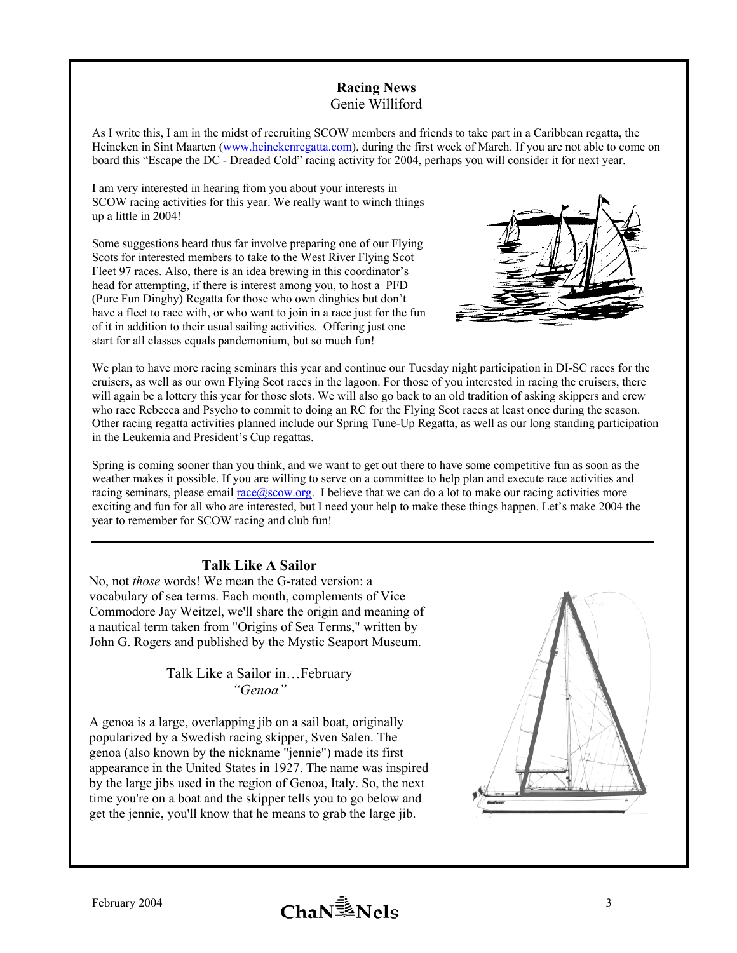## **Racing News**  Genie Williford

As I write this, I am in the midst of recruiting SCOW members and friends to take part in a Caribbean regatta, the Heineken in Sint Maarten [\(www.heinekenregatta.com\)](http://www.heinekenregatta.com/), during the first week of March. If you are not able to come on board this "Escape the DC - Dreaded Cold" racing activity for 2004, perhaps you will consider it for next year.

I am very interested in hearing from you about your interests in SCOW racing activities for this year. We really want to winch things up a little in 2004!

Some suggestions heard thus far involve preparing one of our Flying Scots for interested members to take to the West River Flying Scot Fleet 97 races. Also, there is an idea brewing in this coordinator's head for attempting, if there is interest among you, to host a PFD (Pure Fun Dinghy) Regatta for those who own dinghies but don't have a fleet to race with, or who want to join in a race just for the fun of it in addition to their usual sailing activities. Offering just one start for all classes equals pandemonium, but so much fun!



We plan to have more racing seminars this year and continue our Tuesday night participation in DI-SC races for the cruisers, as well as our own Flying Scot races in the lagoon. For those of you interested in racing the cruisers, there will again be a lottery this year for those slots. We will also go back to an old tradition of asking skippers and crew who race Rebecca and Psycho to commit to doing an RC for the Flying Scot races at least once during the season. Other racing regatta activities planned include our Spring Tune-Up Regatta, as well as our long standing participation in the Leukemia and President's Cup regattas.

Spring is coming sooner than you think, and we want to get out there to have some competitive fun as soon as the weather makes it possible. If you are willing to serve on a committee to help plan and execute race activities and racing seminars, please email  $r_{\text{acc}}(\cos \omega \cdot \cos n)$ . I believe that we can do a lot to make our racing activities more exciting and fun for all who are interested, but I need your help to make these things happen. Let's make 2004 the year to remember for SCOW racing and club fun!

# **Talk Like A Sailor**

No, not *those* words! We mean the G-rated version: a vocabulary of sea terms. Each month, complements of Vice Commodore Jay Weitzel, we'll share the origin and meaning of a nautical term taken from "Origins of Sea Terms," written by John G. Rogers and published by the Mystic Seaport Museum.

> Talk Like a Sailor in…February *"Genoa"*

A genoa is a large, overlapping jib on a sail boat, originally popularized by a Swedish racing skipper, Sven Salen. The genoa (also known by the nickname "jennie") made its first appearance in the United States in 1927. The name was inspired by the large jibs used in the region of Genoa, Italy. So, the next time you're on a boat and the skipper tells you to go below and get the jennie, you'll know that he means to grab the large jib.

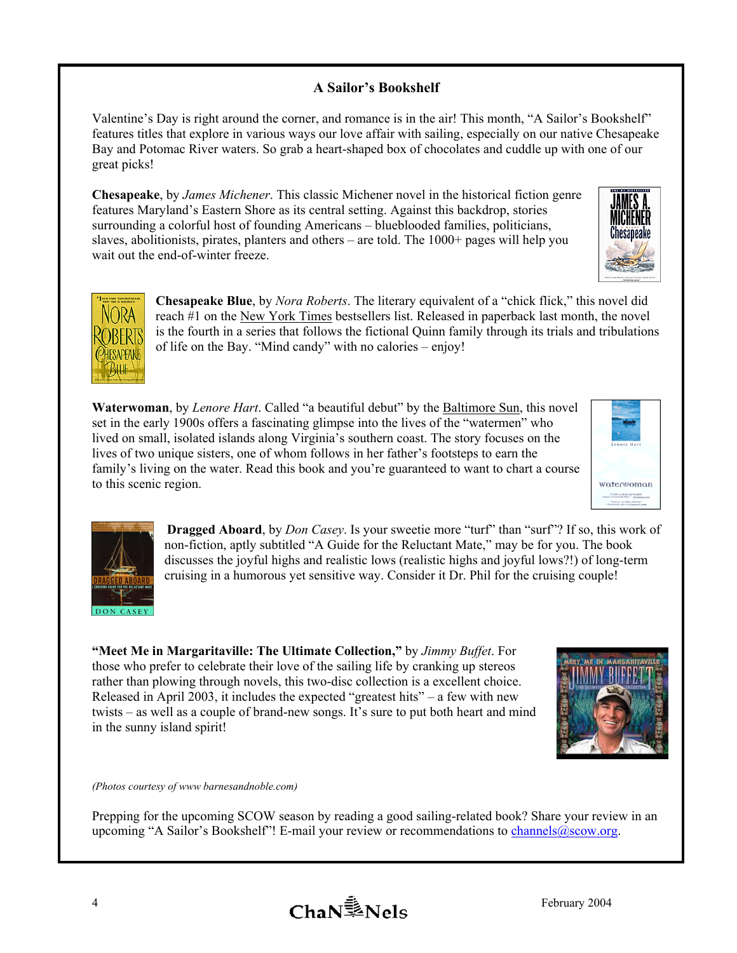# **A Sailor's Bookshelf**

Valentine's Day is right around the corner, and romance is in the air! This month, "A Sailor's Bookshelf" features titles that explore in various ways our love affair with sailing, especially on our native Chesapeake Bay and Potomac River waters. So grab a heart-shaped box of chocolates and cuddle up with one of our great picks!

**Chesapeake**, by *James Michener*. This classic Michener novel in the historical fiction genre features Maryland's Eastern Shore as its central setting. Against this backdrop, stories surrounding a colorful host of founding Americans – blueblooded families, politicians, slaves, abolitionists, pirates, planters and others – are told. The 1000+ pages will help you wait out the end-of-winter freeze.





**Chesapeake Blue**, by *Nora Roberts*. The literary equivalent of a "chick flick," this novel did reach #1 on the New York Times bestsellers list. Released in paperback last month, the novel is the fourth in a series that follows the fictional Quinn family through its trials and tribulations of life on the Bay. "Mind candy" with no calories – enjoy!

**Waterwoman**, by *Lenore Hart*. Called "a beautiful debut" by the Baltimore Sun, this novel set in the early 1900s offers a fascinating glimpse into the lives of the "watermen" who lived on small, isolated islands along Virginia's southern coast. The story focuses on the lives of two unique sisters, one of whom follows in her father's footsteps to earn the family's living on the water. Read this book and you're guaranteed to want to chart a course to this scenic region.





**Dragged Aboard**, by *Don Casey*. Is your sweetie more "turf" than "surf"? If so, this work of non-fiction, aptly subtitled "A Guide for the Reluctant Mate," may be for you. The book discusses the joyful highs and realistic lows (realistic highs and joyful lows?!) of long-term cruising in a humorous yet sensitive way. Consider it Dr. Phil for the cruising couple!

**"Meet Me in Margaritaville: The Ultimate Collection,"** by *Jimmy Buffet*. For those who prefer to celebrate their love of the sailing life by cranking up stereos rather than plowing through novels, this two-disc collection is a excellent choice. Released in April 2003, it includes the expected "greatest hits" – a few with new twists – as well as a couple of brand-new songs. It's sure to put both heart and mind in the sunny island spirit!



*(Photos courtesy of www barnesandnoble.com)*

Prepping for the upcoming SCOW season by reading a good sailing-related book? Share your review in an upcoming "A Sailor's Bookshelf"! E-mail your review or recommendations to *[channels@scow.org](mailto:channels@scow.org)*.

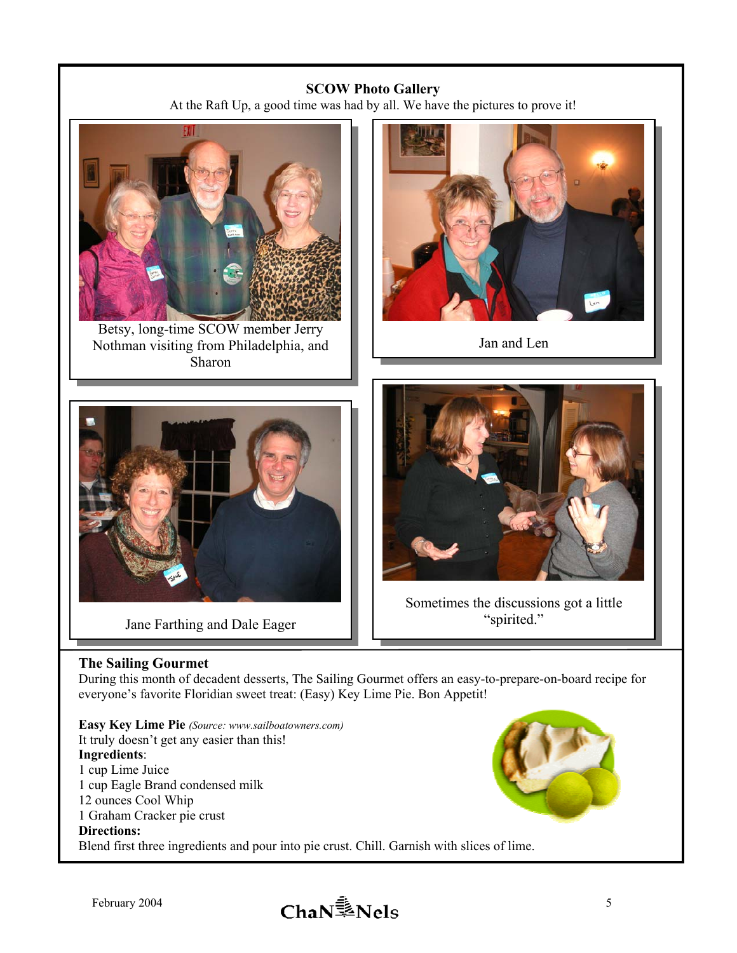# **SCOW Photo Gallery**

At the Raft Up, a good time was had by all. We have the pictures to prove it!





Jan and Len



Jane Farthing and Dale Eager Spirited."



Sometimes the discussions got a little

# **The Sailing Gourmet**

During this month of decadent desserts, The Sailing Gourmet offers an easy-to-prepare-on-board recipe for everyone's favorite Floridian sweet treat: (Easy) Key Lime Pie. Bon Appetit!

**Easy Key Lime Pie** *(Source: www.sailboatowners.com)* It truly doesn't get any easier than this! **Ingredients**: 1 cup Lime Juice 1 cup Eagle Brand condensed milk 12 ounces Cool Whip 1 Graham Cracker pie crust **Directions:**  Blend first three ingredients and pour into pie crust. Chill. Garnish with slices of lime.